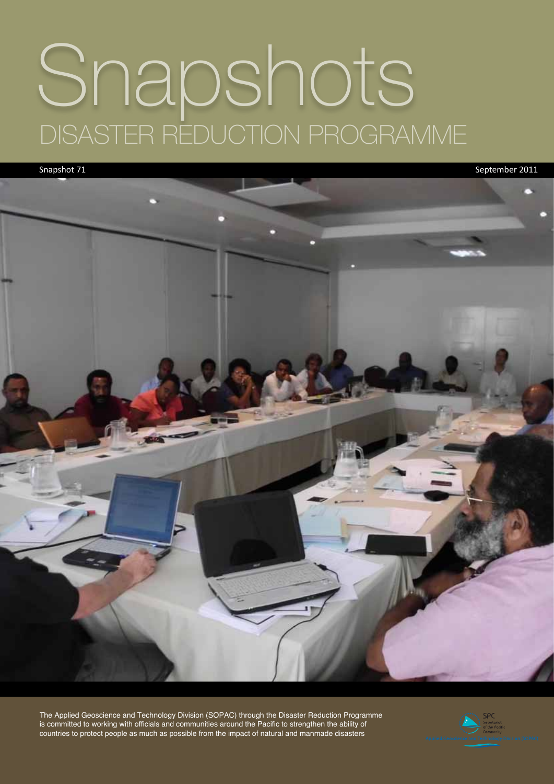# Snapshots DISASTER REDUCTION PROGRAMME

Snapshot 71 September 2011



The Applied Geoscience and Technology Division (SOPAC) through the Disaster Reduction Programme is committed to working with officials and communities around the Pacific to strengthen the ability of countries to protect people as much as possible from the impact of natural and manmade disasters

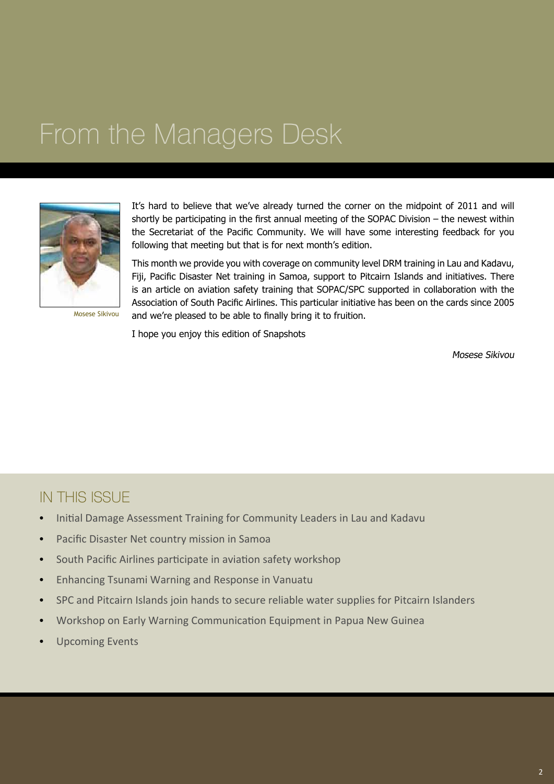#### From the Managers Desk



Mosese Sikivou

It's hard to believe that we've already turned the corner on the midpoint of 2011 and will shortly be participating in the first annual meeting of the SOPAC Division – the newest within the Secretariat of the Pacific Community. We will have some interesting feedback for you following that meeting but that is for next month's edition.

This month we provide you with coverage on community level DRM training in Lau and Kadavu, Fiji, Pacific Disaster Net training in Samoa, support to Pitcairn Islands and initiatives. There is an article on aviation safety training that SOPAC/SPC supported in collaboration with the Association of South Pacific Airlines. This particular initiative has been on the cards since 2005 and we're pleased to be able to finally bring it to fruition.

I hope you enjoy this edition of Snapshots

Mosese Sikivou

#### IN THIS ISSUE

- Initial Damage Assessment Training for Community Leaders in Lau and Kadavu
- • Pacific Disaster Net country mission in Samoa
- South Pacific Airlines participate in aviation safety workshop
- • Enhancing Tsunami Warning and Response in Vanuatu
- SPC and Pitcairn Islands join hands to secure reliable water supplies for Pitcairn Islanders
- Workshop on Early Warning Communication Equipment in Papua New Guinea
- **Upcoming Events**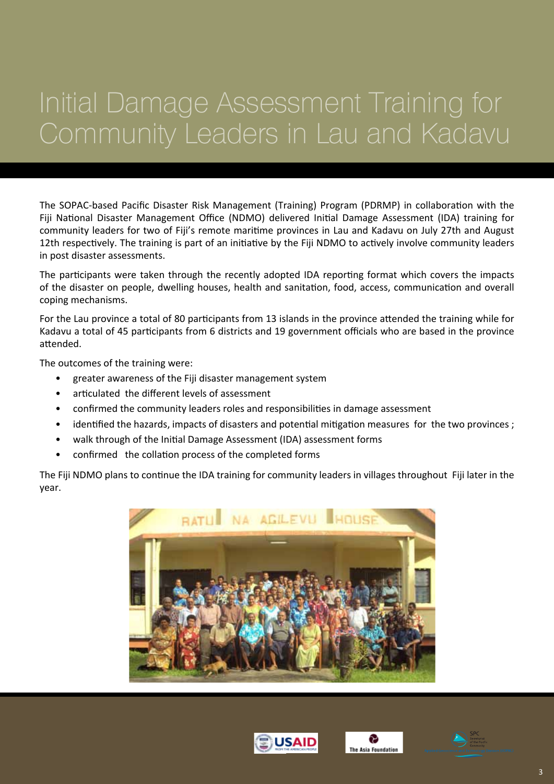## Initial Damage Assessment Training for Community Leaders in Lau and Kadavu

The SOPAC-based Pacific Disaster Risk Management (Training) Program (PDRMP) in collaboration with the Fiji National Disaster Management Office (NDMO) delivered Initial Damage Assessment (IDA) training for community leaders for two of Fiji's remote maritime provinces in Lau and Kadavu on July 27th and August 12th respectively. The training is part of an initiative by the Fiji NDMO to actively involve community leaders in post disaster assessments.

The participants were taken through the recently adopted IDA reporting format which covers the impacts of the disaster on people, dwelling houses, health and sanitation, food, access, communication and overall coping mechanisms.

For the Lau province a total of 80 participants from 13 islands in the province attended the training while for Kadavu a total of 45 participants from 6 districts and 19 government officials who are based in the province attended.

The outcomes of the training were:

- greater awareness of the Fiji disaster management system
- articulated the different levels of assessment
- confirmed the community leaders roles and responsibilities in damage assessment
- identified the hazards, impacts of disasters and potential mitigation measures for the two provinces ;
- walk through of the Initial Damage Assessment (IDA) assessment forms
- confirmed the collation process of the completed forms

The Fiji NDMO plans to continue the IDA training for community leaders in villages throughout Fiji later in the year.







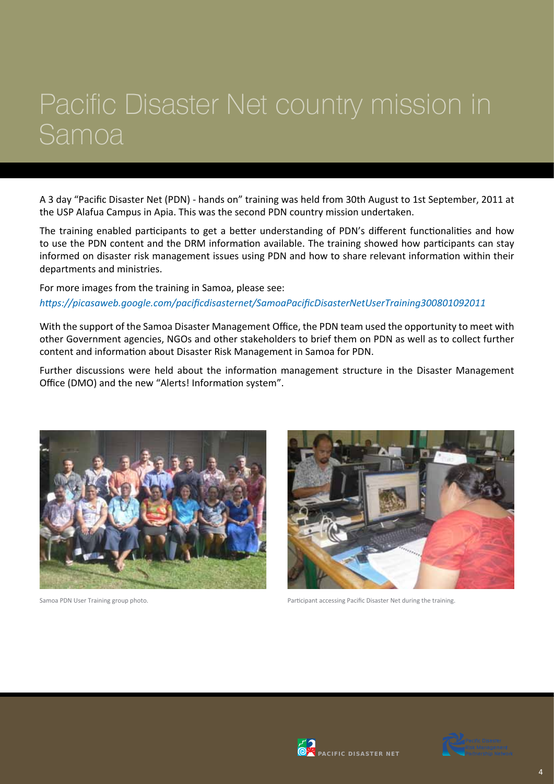#### Pacific Disaster Net country mission in Samoa

A 3 day "Pacific Disaster Net (PDN) - hands on" training was held from 30th August to 1st September, 2011 at the USP Alafua Campus in Apia. This was the second PDN country mission undertaken.

The training enabled participants to get a better understanding of PDN's different functionalities and how to use the PDN content and the DRM information available. The training showed how participants can stay informed on disaster risk management issues using PDN and how to share relevant information within their departments and ministries.

For more images from the training in Samoa, please see: *https://picasaweb.google.com/pacificdisasternet/SamoaPacificDisasterNetUserTraining300801092011*

With the support of the Samoa Disaster Management Office, the PDN team used the opportunity to meet with other Government agencies, NGOs and other stakeholders to brief them on PDN as well as to collect further content and information about Disaster Risk Management in Samoa for PDN.

Further discussions were held about the information management structure in the Disaster Management Office (DMO) and the new "Alerts! Information system".





Samoa PDN User Training group photo. Participant accessing Pacific Disaster Net during the training.



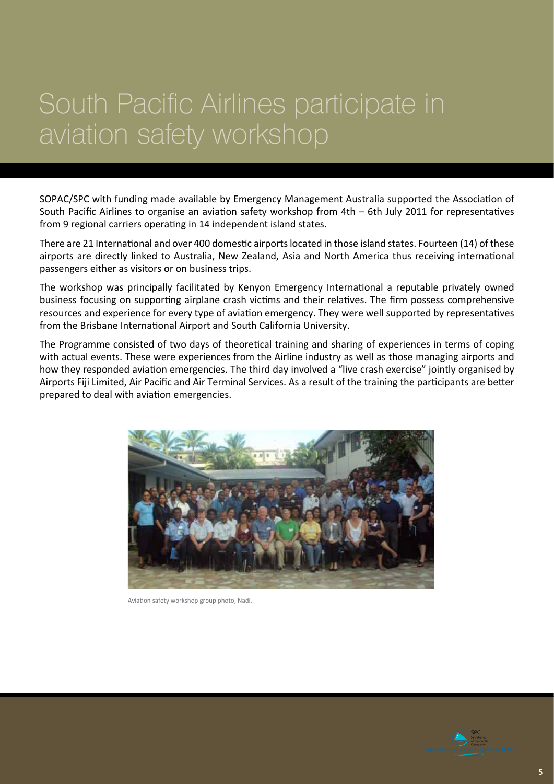#### South Pacific Airlines participate in aviation safety workshop

SOPAC/SPC with funding made available by Emergency Management Australia supported the Association of South Pacific Airlines to organise an aviation safety workshop from 4th – 6th July 2011 for representatives from 9 regional carriers operating in 14 independent island states.

There are 21 International and over 400 domestic airports located in those island states. Fourteen (14) of these airports are directly linked to Australia, New Zealand, Asia and North America thus receiving international passengers either as visitors or on business trips.

The workshop was principally facilitated by Kenyon Emergency International a reputable privately owned business focusing on supporting airplane crash victims and their relatives. The firm possess comprehensive resources and experience for every type of aviation emergency. They were well supported by representatives from the Brisbane International Airport and South California University.

The Programme consisted of two days of theoretical training and sharing of experiences in terms of coping with actual events. These were experiences from the Airline industry as well as those managing airports and how they responded aviation emergencies. The third day involved a "live crash exercise" jointly organised by Airports Fiji Limited, Air Pacific and Air Terminal Services. As a result of the training the participants are better prepared to deal with aviation emergencies.



Aviation safety workshop group photo, Nadi.

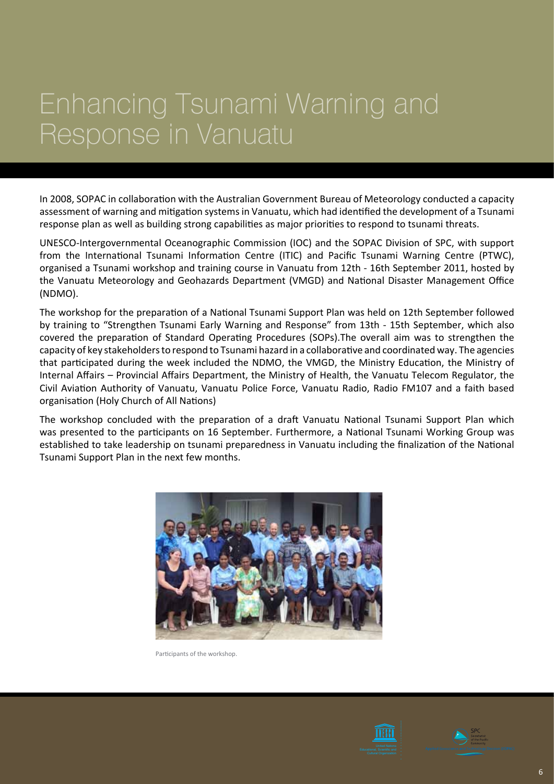#### Enhancing Tsunami Warning and Response in Vanuatu

In 2008, SOPAC in collaboration with the Australian Government Bureau of Meteorology conducted a capacity assessment of warning and mitigation systems in Vanuatu, which had identified the development of a Tsunami response plan as well as building strong capabilities as major priorities to respond to tsunami threats.

UNESCO-Intergovernmental Oceanographic Commission (IOC) and the SOPAC Division of SPC, with support from the International Tsunami Information Centre (ITIC) and Pacific Tsunami Warning Centre (PTWC), organised a Tsunami workshop and training course in Vanuatu from 12th - 16th September 2011, hosted by the Vanuatu Meteorology and Geohazards Department (VMGD) and National Disaster Management Office (NDMO).

The workshop for the preparation of a National Tsunami Support Plan was held on 12th September followed by training to "Strengthen Tsunami Early Warning and Response" from 13th - 15th September, which also covered the preparation of Standard Operating Procedures (SOPs).The overall aim was to strengthen the capacity of key stakeholders to respond to Tsunami hazard in a collaborative and coordinated way. The agencies that participated during the week included the NDMO, the VMGD, the Ministry Education, the Ministry of Internal Affairs – Provincial Affairs Department, the Ministry of Health, the Vanuatu Telecom Regulator, the Civil Aviation Authority of Vanuatu, Vanuatu Police Force, Vanuatu Radio, Radio FM107 and a faith based organisation (Holy Church of All Nations)

The workshop concluded with the preparation of a draft Vanuatu National Tsunami Support Plan which was presented to the participants on 16 September. Furthermore, a National Tsunami Working Group was established to take leadership on tsunami preparedness in Vanuatu including the finalization of the National Tsunami Support Plan in the next few months.



Participants of the workshop.



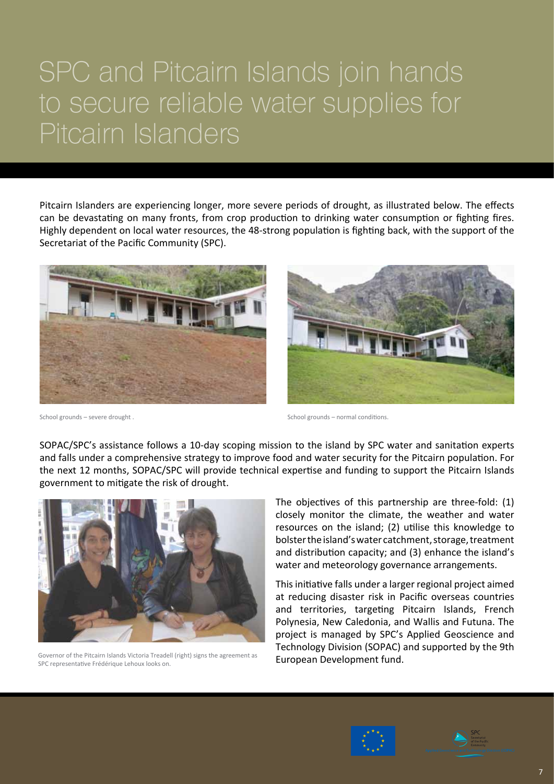#### SPC and Pitcairn Islands join hands to secure reliable water supplies for Pitcairn Islanders

Pitcairn Islanders are experiencing longer, more severe periods of drought, as illustrated below. The effects can be devastating on many fronts, from crop production to drinking water consumption or fighting fires. Highly dependent on local water resources, the 48-strong population is fighting back, with the support of the Secretariat of the Pacific Community (SPC).





School grounds – severe drought .  $\blacksquare$  School grounds – normal conditions.

SOPAC/SPC's assistance follows a 10-day scoping mission to the island by SPC water and sanitation experts and falls under a comprehensive strategy to improve food and water security for the Pitcairn population. For the next 12 months, SOPAC/SPC will provide technical expertise and funding to support the Pitcairn Islands government to mitigate the risk of drought.



Governor of the Pitcairn Islands Victoria Treadell (right) signs the agreement as SPC representative Frédérique Lehoux looks on.

The objectives of this partnership are three-fold: (1) closely monitor the climate, the weather and water resources on the island; (2) utilise this knowledge to bolster the island's water catchment, storage, treatment and distribution capacity; and (3) enhance the island's water and meteorology governance arrangements.

This initiative falls under a larger regional project aimed at reducing disaster risk in Pacific overseas countries and territories, targeting Pitcairn Islands, French Polynesia, New Caledonia, and Wallis and Futuna. The project is managed by SPC's Applied Geoscience and Technology Division (SOPAC) and supported by the 9th European Development fund.



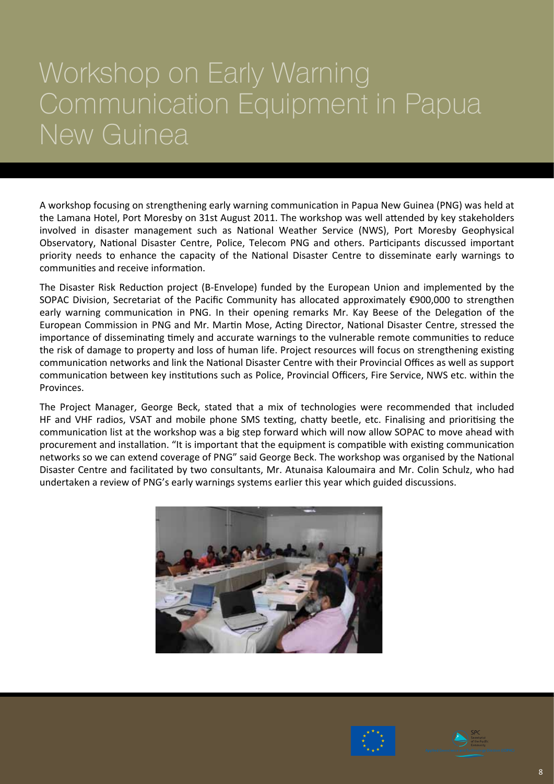#### Workshop on Early Warning Communication Equipment in Papua New Guinea

A workshop focusing on strengthening early warning communication in Papua New Guinea (PNG) was held at the Lamana Hotel, Port Moresby on 31st August 2011. The workshop was well attended by key stakeholders involved in disaster management such as National Weather Service (NWS), Port Moresby Geophysical Observatory, National Disaster Centre, Police, Telecom PNG and others. Participants discussed important priority needs to enhance the capacity of the National Disaster Centre to disseminate early warnings to communities and receive information.

The Disaster Risk Reduction project (B-Envelope) funded by the European Union and implemented by the SOPAC Division, Secretariat of the Pacific Community has allocated approximately €900,000 to strengthen early warning communication in PNG. In their opening remarks Mr. Kay Beese of the Delegation of the European Commission in PNG and Mr. Martin Mose, Acting Director, National Disaster Centre, stressed the importance of disseminating timely and accurate warnings to the vulnerable remote communities to reduce the risk of damage to property and loss of human life. Project resources will focus on strengthening existing communication networks and link the National Disaster Centre with their Provincial Offices as well as support communication between key institutions such as Police, Provincial Officers, Fire Service, NWS etc. within the Provinces.

The Project Manager, George Beck, stated that a mix of technologies were recommended that included HF and VHF radios, VSAT and mobile phone SMS texting, chatty beetle, etc. Finalising and prioritising the communication list at the workshop was a big step forward which will now allow SOPAC to move ahead with procurement and installation. "It is important that the equipment is compatible with existing communication networks so we can extend coverage of PNG" said George Beck. The workshop was organised by the National Disaster Centre and facilitated by two consultants, Mr. Atunaisa Kaloumaira and Mr. Colin Schulz, who had undertaken a review of PNG's early warnings systems earlier this year which guided discussions.